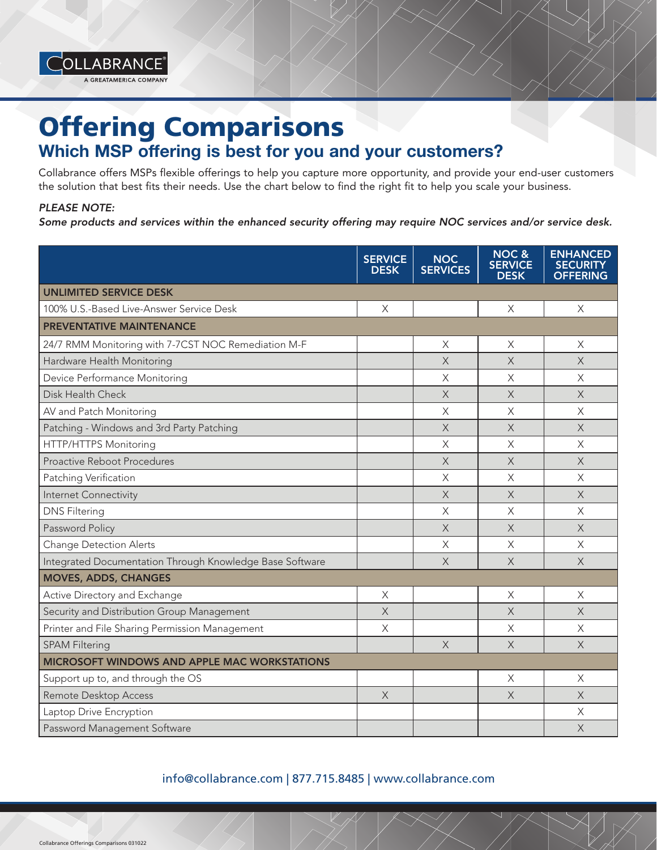

## Offering Comparisons Which MSP offering is best for you and your customers?

Collabrance offers MSPs flexible offerings to help you capture more opportunity, and provide your end-user customers the solution that best fits their needs. Use the chart below to find the right fit to help you scale your business.

## *PLEASE NOTE:*

*Some products and services within the enhanced security offering may require NOC services and/or service desk.*

|                                                          | <b>SERVICE</b><br><b>DESK</b> | <b>NOC</b><br><b>SERVICES</b> | <b>NOC &amp;</b><br><b>SERVICE</b><br><b>DESK</b> | <b>ENHANCED</b><br><b>SECURITY</b><br><b>OFFERING</b> |
|----------------------------------------------------------|-------------------------------|-------------------------------|---------------------------------------------------|-------------------------------------------------------|
| <b>UNLIMITED SERVICE DESK</b>                            |                               |                               |                                                   |                                                       |
| 100% U.S.-Based Live-Answer Service Desk                 | $\times$                      |                               | $\times$                                          | $\times$                                              |
| <b>PREVENTATIVE MAINTENANCE</b>                          |                               |                               |                                                   |                                                       |
| 24/7 RMM Monitoring with 7-7CST NOC Remediation M-F      |                               | X                             | X                                                 | X                                                     |
| Hardware Health Monitoring                               |                               | $\times$                      | $\times$                                          | $\times$                                              |
| Device Performance Monitoring                            |                               | X                             | $\times$                                          | X                                                     |
| Disk Health Check                                        |                               | $\times$                      | $\times$                                          | $\times$                                              |
| AV and Patch Monitoring                                  |                               | $\times$                      | $\overline{\mathsf{X}}$                           | $\times$                                              |
| Patching - Windows and 3rd Party Patching                |                               | $\times$                      | $\times$                                          | $\times$                                              |
| HTTP/HTTPS Monitoring                                    |                               | $\times$                      | $\times$                                          | $\times$                                              |
| Proactive Reboot Procedures                              |                               | $\times$                      | $\times$                                          | X                                                     |
| Patching Verification                                    |                               | $\times$                      | $\times$                                          | $\times$                                              |
| Internet Connectivity                                    |                               | $\times$                      | $\times$                                          | X                                                     |
| <b>DNS Filtering</b>                                     |                               | $\times$                      | $\times$                                          | $\times$                                              |
| Password Policy                                          |                               | $\times$                      | $\times$                                          | $\times$                                              |
| Change Detection Alerts                                  |                               | X                             | $\times$                                          | $\times$                                              |
| Integrated Documentation Through Knowledge Base Software |                               | $\times$                      | $\times$                                          | $\times$                                              |
| <b>MOVES, ADDS, CHANGES</b>                              |                               |                               |                                                   |                                                       |
| Active Directory and Exchange                            | X                             |                               | Χ                                                 | X                                                     |
| Security and Distribution Group Management               | X                             |                               | X                                                 | X                                                     |
| Printer and File Sharing Permission Management           | $\times$                      |                               | $\overline{\mathsf{X}}$                           | $\times$                                              |
| <b>SPAM Filtering</b>                                    |                               | $\times$                      | $\times$                                          | $\times$                                              |
| <b>MICROSOFT WINDOWS AND APPLE MAC WORKSTATIONS</b>      |                               |                               |                                                   |                                                       |
| Support up to, and through the OS                        |                               |                               | X                                                 | X                                                     |
| Remote Desktop Access                                    | $\times$                      |                               | $\overline{X}$                                    | $\times$                                              |
| Laptop Drive Encryption                                  |                               |                               |                                                   | Χ                                                     |
| Password Management Software                             |                               |                               |                                                   | $\times$                                              |

## info@collabrance.com | 877.715.8485 | www.collabrance.com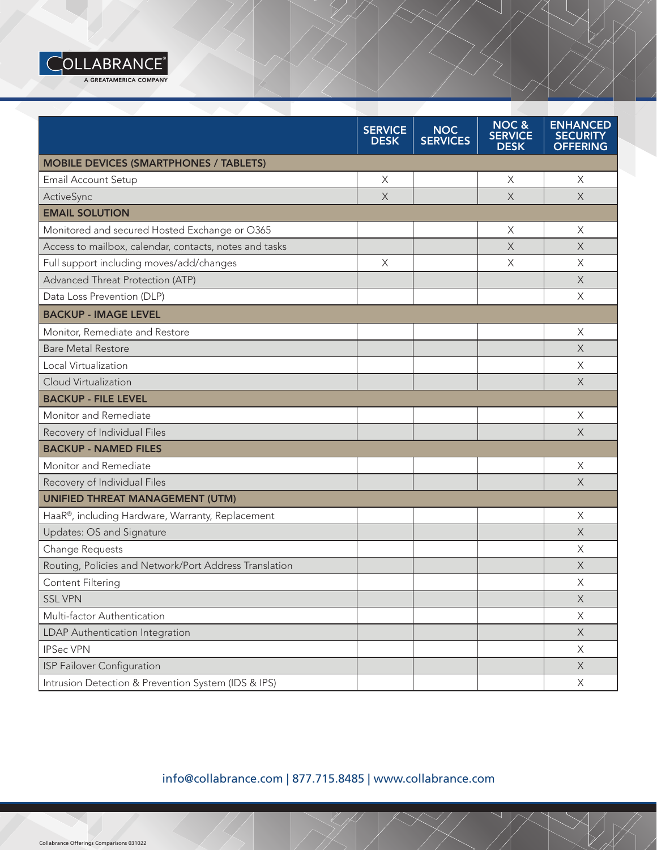

|                                                        | <b>SERVICE</b><br><b>DESK</b> | <b>NOC</b><br><b>SERVICES</b> | NOC&<br><b>SERVICE</b><br><b>DESK</b> | <b>ENHANCED</b><br><b>SECURITY</b><br><b>OFFERING</b> |
|--------------------------------------------------------|-------------------------------|-------------------------------|---------------------------------------|-------------------------------------------------------|
| <b>MOBILE DEVICES (SMARTPHONES / TABLETS)</b>          |                               |                               |                                       |                                                       |
| Email Account Setup                                    | X                             |                               | X                                     | X                                                     |
| ActiveSync                                             | $\times$                      |                               | $\overline{X}$                        | $\times$                                              |
| <b>EMAIL SOLUTION</b>                                  |                               |                               |                                       |                                                       |
| Monitored and secured Hosted Exchange or O365          |                               |                               | X                                     | $\times$                                              |
| Access to mailbox, calendar, contacts, notes and tasks |                               |                               | $\times$                              | $\times$                                              |
| Full support including moves/add/changes               | X                             |                               | X                                     | X                                                     |
| Advanced Threat Protection (ATP)                       |                               |                               |                                       | $\times$                                              |
| Data Loss Prevention (DLP)                             |                               |                               |                                       | $\times$                                              |
| <b>BACKUP - IMAGE LEVEL</b>                            |                               |                               |                                       |                                                       |
| Monitor, Remediate and Restore                         |                               |                               |                                       | $\times$                                              |
| <b>Bare Metal Restore</b>                              |                               |                               |                                       | $\times$                                              |
| Local Virtualization                                   |                               |                               |                                       | X                                                     |
| Cloud Virtualization                                   |                               |                               |                                       | $\times$                                              |
| <b>BACKUP - FILE LEVEL</b>                             |                               |                               |                                       |                                                       |
| Monitor and Remediate                                  |                               |                               |                                       | $\times$                                              |
| Recovery of Individual Files                           |                               |                               |                                       | $\times$                                              |
| <b>BACKUP - NAMED FILES</b>                            |                               |                               |                                       |                                                       |
| Monitor and Remediate                                  |                               |                               |                                       | $\times$                                              |
| Recovery of Individual Files                           |                               |                               |                                       | $\times$                                              |
| <b>UNIFIED THREAT MANAGEMENT (UTM)</b>                 |                               |                               |                                       |                                                       |
| HaaR®, including Hardware, Warranty, Replacement       |                               |                               |                                       | X                                                     |
| Updates: OS and Signature                              |                               |                               |                                       | $\times$                                              |
| Change Requests                                        |                               |                               |                                       | X                                                     |
| Routing, Policies and Network/Port Address Translation |                               |                               |                                       | X                                                     |
| Content Filtering                                      |                               |                               |                                       | $\mathsf{X}$                                          |
| <b>SSL VPN</b>                                         |                               |                               |                                       | $\mathsf X$                                           |
| Multi-factor Authentication                            |                               |                               |                                       | $\times$                                              |
| LDAP Authentication Integration                        |                               |                               |                                       | $\mathsf X$                                           |
| <b>IPSec VPN</b>                                       |                               |                               |                                       | $\times$                                              |
| ISP Failover Configuration                             |                               |                               |                                       | $\mathsf X$                                           |
| Intrusion Detection & Prevention System (IDS & IPS)    |                               |                               |                                       | X                                                     |

info@collabrance.com | 877.715.8485 | www.collabrance.com